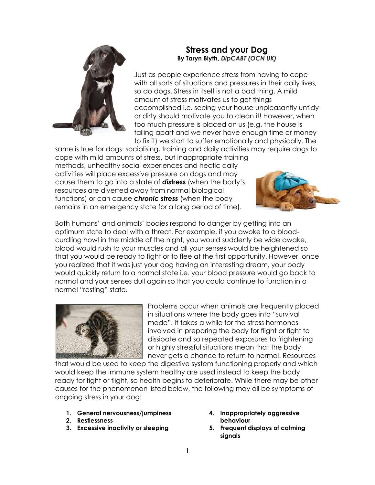

# **Stress and your Dog By Taryn Blyth,** *DipCABT (OCN UK)*

Just as people experience stress from having to cope with all sorts of situations and pressures in their daily lives, so do dogs. Stress in itself is not a bad thing. A mild amount of stress motivates us to get things accomplished i.e. seeing your house unpleasantly untidy or dirty should motivate you to clean it! However, when too much pressure is placed on us (e.g. the house is falling apart and we never have enough time or money to fix it) we start to suffer emotionally and physically. The

same is true for dogs: socialising, training and daily activities may require dogs to cope with mild amounts of stress, but inappropriate training methods, unhealthy social experiences and hectic daily activities will place excessive pressure on dogs and may cause them to go into a state of *dis***tress** (when the body's resources are diverted away from normal biological functions) or can cause *chronic stress* (when the body remains in an emergency state for a long period of time).



Both humans' and animals' bodies respond to danger by getting into an optimum state to deal with a threat. For example, if you awoke to a bloodcurdling howl in the middle of the night, you would suddenly be wide awake, blood would rush to your muscles and all your senses would be heightened so that you would be ready to fight or to flee at the first opportunity. However, once you realized that it was just your dog having an interesting dream, your body would quickly return to a normal state i.e. your blood pressure would go back to normal and your senses dull again so that you could continue to function in a normal "resting" state.



Problems occur when animals are frequently placed in situations where the body goes into "survival mode". It takes a while for the stress hormones involved in preparing the body for flight or fight to dissipate and so repeated exposures to frightening or highly stressful situations mean that the body never gets a chance to return to normal. Resources

that would be used to keep the digestive system functioning properly and which would keep the immune system healthy are used instead to keep the body ready for fight or flight, so health begins to deteriorate. While there may be other causes for the phenomenon listed below, the following may all be symptoms of ongoing stress in your dog:

- **1. General nervousness/jumpiness**
- **2. Restlessness**
- **3. Excessive inactivity or sleeping**
- **4. Inappropriately aggressive behaviour**
- **5. Frequent displays of calming signals**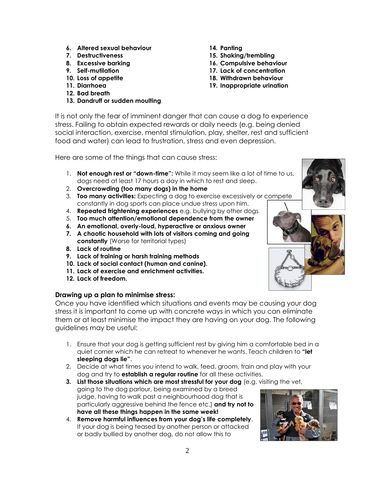- **6. Altered sexual behaviour**
- **7. Destructiveness**
- **8. Excessive barking**
- **9. Self-mutilation**
- **10. Loss of appetite**
- **11. Diarrhoea**
- **12. Bad breath**
- **13. Dandruff or sudden moulting**
- **14. Panting**
- **15. Shaking/trembling**
- **16. Compulsive behaviour**
- **17. Lack of concentration**
- **18. Withdrawn behaviour**
- **19. Inappropriate urination**

It is not only the fear of imminent danger that can cause a dog to experience stress. Failing to obtain expected rewards or daily needs (e.g. being denied social interaction, exercise, mental stimulation, play, shelter, rest and sufficient food and water) can lead to frustration, stress and even depression.

Here are some of the things that can cause stress:

- 1. **Not enough rest or "down-time":** While it may seem like a lot of time to us, dogs need at least 17 hours a day in which to rest and sleep.
- 2. **Overcrowding (too many dogs) in the home**
- 3. **Too many activities:** Expecting a dog to exercise excessively or compete constantly in dog sports can place undue stress upon him.
- 4. **Repeated frightening experiences** e.g. bullying by other dogs
- 5. **Too much attention/emotional dependence from the owner**
- **6. An emotional, overly-loud, hyperactive or anxious owner**
- **7. A chaotic household with lots of visitors coming and going constantly** (Worse for territorial types)
- **8. Lack of routine**
- **9. Lack of training or harsh training methods**
- **10. Lack of social contact (human and canine).**
- **11. Lack of exercise and enrichment activities.**
- **12. Lack of freedom.**

### **Drawing up a plan to minimise stress:**

Once you have identified which situations and events may be causing your dog stress it is important to come up with concrete ways in which you can eliminate them or at least minimise the impact they are having on your dog. The following guidelines may be useful:

- 1. Ensure that your dog is getting sufficient rest by giving him a comfortable bed in a quiet corner which he can retreat to whenever he wants. Teach children to **"let sleeping dogs lie"**.
- 2. Decide at what times you intend to walk, feed, groom, train and play with your dog and try to **establish a regular routine** for all these activities.
- **3. List those situations which are most stressful for your dog** (e.g. visiting the vet, going to the dog parlour, being examined by a breed judge, having to walk past a neighbourhood dog that is particularly aggressive behind the fence etc.) **and try not to have all these things happen in the same week!**
- 4. **Remove harmful influences from your dog's life completely**. If your dog is being teased by another person or attacked or badly bullied by another dog, do not allow this to

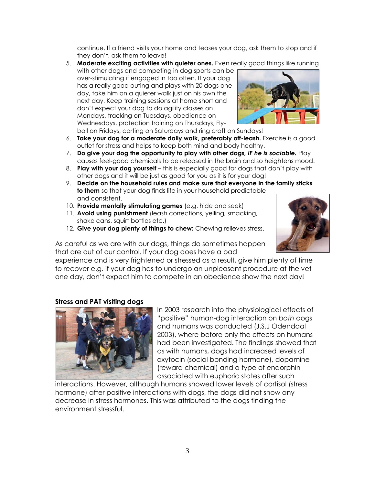continue. If a friend visits your home and teases your dog, ask them to stop and if they don't, ask them to leave!

5. **Moderate exciting activities with quieter ones.** Even really good things like running with other dogs and competing in dog sports can be over-stimulating if engaged in too often. If your dog has a really good outing and plays with 20 dogs one day, take him on a quieter walk just on his own the next day. Keep training sessions at home short and don't expect your dog to do agility classes on Mondays, tracking on Tuesdays, obedience on Wednesdays, protection training on Thursdays, Fly-



- ball on Fridays, carting on Saturdays and ring craft on Sundays!
- 6. **Take your dog for a moderate daily walk, preferably off-leash.** Exercise is a good outlet for stress and helps to keep both mind and body healthy.
- 7. **Do give your dog the opportunity to play with other dogs***, IF he is sociable.* Play causes feel-good chemicals to be released in the brain and so heightens mood.
- 8. **Play with your dog yourself** this is especially good for dogs that don't play with other dogs and it will be just as good for you as it is for your dog!
- 9. **Decide on the household rules and make sure that everyone in the family sticks to them** so that your dog finds life in your household predictable and consistent.
- 10. **Provide mentally stimulating games** (e.g. hide and seek)
- 11. **Avoid using punishment** (leash corrections, yelling, smacking, shake cans, squirt bottles etc.)
- 12. **Give your dog plenty of things to chew:** Chewing relieves stress.

As careful as we are with our dogs, things do sometimes happen that are out of our control. If your dog does have a bad

experience and is very frightened or stressed as a result, give him plenty of time to recover e.g. if your dog has to undergo an unpleasant procedure at the vet one day, don't expect him to compete in an obedience show the next day!

### **Stress and PAT visiting dogs**



In 2003 research into the physiological effects of "positive" human-dog interaction on *both* dogs and humans was conducted (J.S.J Odendaal 2003), where before only the effects on humans had been investigated. The findings showed that as with humans, dogs had increased levels of oxytocin (social bonding hormone), dopamine (reward chemical) and a type of endorphin associated with euphoric states after such

interactions. However, although humans showed lower levels of cortisol (stress hormone) after positive interactions with dogs, the dogs did not show any decrease in stress hormones. This was attributed to the dogs finding the environment stressful.

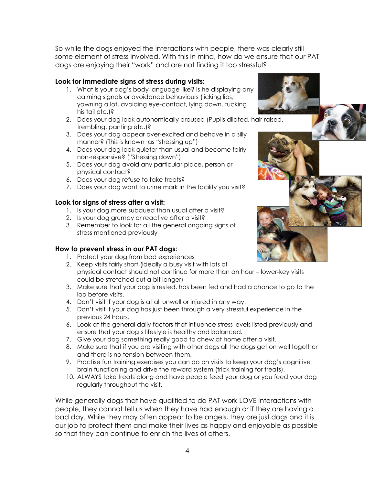So while the dogs enjoyed the interactions with people, there was clearly still some element of stress involved. With this in mind, how do we ensure that our PAT dogs are enjoying their "work" and are not finding it too stressful?

## **Look for immediate signs of stress during visits:**

- 1. What is your dog's body language like? Is he displaying any calming signals or avoidance behaviours (licking lips, yawning a lot, avoiding eye-contact, lying down, tucking his tail etc.)?
- 2. Does your dog look autonomically aroused (Pupils dilated, hair raised, trembling, panting etc.)?
- 3. Does your dog appear over-excited and behave in a silly manner? (This is known as "stressing up")
- 4. Does your dog look quieter than usual and become fairly non-responsive? ("Stressing down")
- 5. Does your dog avoid any particular place, person or physical contact?
- 6. Does your dog refuse to take treats?
- 7. Does your dog want to urine mark in the facility you visit?

# **Look for signs of stress after a visit:**

- 1. Is your dog more subdued than usual after a visit?
- 2. Is your dog grumpy or reactive after a visit?
- 3. Remember to look for all the general ongoing signs of stress mentioned previously

# **How to prevent stress in our PAT dogs:**

- 1. Protect your dog from bad experiences
- 2. Keep visits fairly short (ideally a busy visit with lots of physical contact should not continue for more than an hour – lower-key visits could be stretched out a bit longer)
- 3. Make sure that your dog is rested, has been fed and had a chance to go to the loo before visits.
- 4. Don't visit if your dog is at all unwell or injured in any way.
- 5. Don't visit if your dog has just been through a very stressful experience in the previous 24 hours.
- 6. Look at the general daily factors that influence stress levels listed previously and ensure that your dog's lifestyle is healthy and balanced.
- 7. Give your dog something really good to chew at home after a visit.
- 8. Make sure that if you are visiting with other dogs all the dogs get on well together and there is no tension between them.
- 9. Practise fun training exercises you can do on visits to keep your dog's cognitive brain functioning and drive the reward system (trick training for treats).
- 10. ALWAYS take treats along and have people feed your dog or you feed your dog regularly throughout the visit.

While generally dogs that have qualified to do PAT work LOVE interactions with people, they cannot tell us when they have had enough or if they are having a bad day. While they may often appear to be angels, they are just dogs and it is our job to protect them and make their lives as happy and enjoyable as possible so that they can continue to enrich the lives of others.